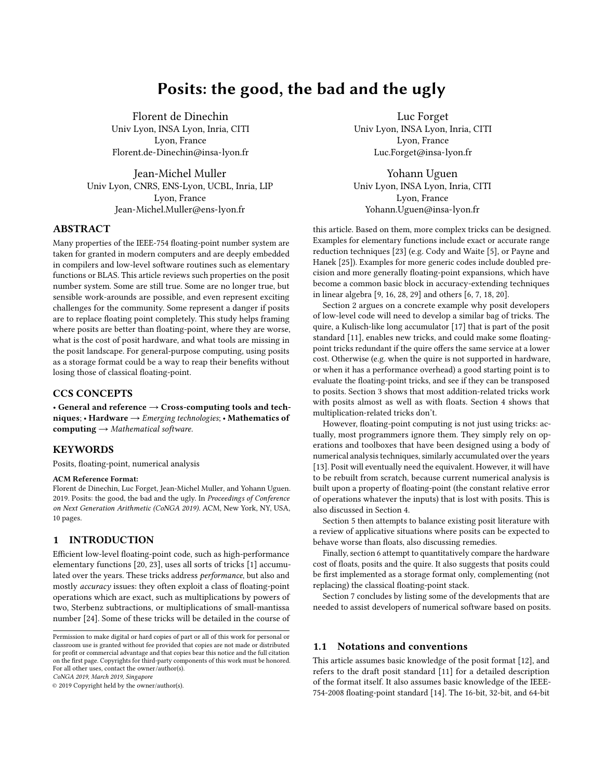# Posits: the good, the bad and the ugly

Florent de Dinechin Univ Lyon, INSA Lyon, Inria, CITI Lyon, France Florent.de-Dinechin@insa-lyon.fr

Jean-Michel Muller Univ Lyon, CNRS, ENS-Lyon, UCBL, Inria, LIP Lyon, France Jean-Michel.Muller@ens-lyon.fr

## ABSTRACT

Many properties of the IEEE-754 floating-point number system are taken for granted in modern computers and are deeply embedded in compilers and low-level software routines such as elementary functions or BLAS. This article reviews such properties on the posit number system. Some are still true. Some are no longer true, but sensible work-arounds are possible, and even represent exciting challenges for the community. Some represent a danger if posits are to replace floating point completely. This study helps framing where posits are better than floating-point, where they are worse, what is the cost of posit hardware, and what tools are missing in the posit landscape. For general-purpose computing, using posits as a storage format could be a way to reap their benefits without losing those of classical floating-point.

## CCS CONCEPTS

• General and reference  $\rightarrow$  Cross-computing tools and techniques; • Hardware  $\rightarrow$  Emerging technologies; • Mathematics of computing  $\rightarrow$  Mathematical software.

## **KEYWORDS**

Posits, floating-point, numerical analysis

#### ACM Reference Format:

Florent de Dinechin, Luc Forget, Jean-Michel Muller, and Yohann Uguen. 2019. Posits: the good, the bad and the ugly. In Proceedings of Conference on Next Generation Arithmetic (CoNGA 2019). ACM, New York, NY, USA, [10](#page-9-0) pages.

## 1 INTRODUCTION

Efficient low-level floating-point code, such as high-performance elementary functions [\[20,](#page-9-1) [23\]](#page-9-2), uses all sorts of tricks [\[1\]](#page-9-3) accumulated over the years. These tricks address performance, but also and mostly accuracy issues: they often exploit a class of floating-point operations which are exact, such as multiplications by powers of two, Sterbenz subtractions, or multiplications of small-mantissa number [\[24\]](#page-9-4). Some of these tricks will be detailed in the course of

CoNGA 2019, March 2019, Singapore

© 2019 Copyright held by the owner/author(s).

Luc Forget Univ Lyon, INSA Lyon, Inria, CITI Lyon, France Luc.Forget@insa-lyon.fr

Yohann Uguen Univ Lyon, INSA Lyon, Inria, CITI Lyon, France Yohann.Uguen@insa-lyon.fr

this article. Based on them, more complex tricks can be designed. Examples for elementary functions include exact or accurate range reduction techniques [\[23\]](#page-9-2) (e.g. Cody and Waite [\[5\]](#page-9-5), or Payne and Hanek [\[25\]](#page-9-6)). Examples for more generic codes include doubled precision and more generally floating-point expansions, which have become a common basic block in accuracy-extending techniques in linear algebra [\[9,](#page-9-7) [16,](#page-9-8) [28,](#page-9-9) [29\]](#page-9-10) and others [\[6,](#page-9-11) [7,](#page-9-12) [18,](#page-9-13) [20\]](#page-9-1).

Section [2](#page-1-0) argues on a concrete example why posit developers of low-level code will need to develop a similar bag of tricks. The quire, a Kulisch-like long accumulator [\[17\]](#page-9-14) that is part of the posit standard [\[11\]](#page-9-15), enables new tricks, and could make some floatingpoint tricks redundant if the quire offers the same service at a lower cost. Otherwise (e.g. when the quire is not supported in hardware, or when it has a performance overhead) a good starting point is to evaluate the floating-point tricks, and see if they can be transposed to posits. Section [3](#page-1-1) shows that most addition-related tricks work with posits almost as well as with floats. Section [4](#page-3-0) shows that multiplication-related tricks don't.

However, floating-point computing is not just using tricks: actually, most programmers ignore them. They simply rely on operations and toolboxes that have been designed using a body of numerical analysis techniques, similarly accumulated over the years [\[13\]](#page-9-16). Posit will eventually need the equivalent. However, it will have to be rebuilt from scratch, because current numerical analysis is built upon a property of floating-point (the constant relative error of operations whatever the inputs) that is lost with posits. This is also discussed in Section [4.](#page-3-0)

Section [5](#page-4-0) then attempts to balance existing posit literature with a review of applicative situations where posits can be expected to behave worse than floats, also discussing remedies.

Finally, section [6](#page-6-0) attempt to quantitatively compare the hardware cost of floats, posits and the quire. It also suggests that posits could be first implemented as a storage format only, complementing (not replacing) the classical floating-point stack.

Section [7](#page-8-0) concludes by listing some of the developments that are needed to assist developers of numerical software based on posits.

## 1.1 Notations and conventions

This article assumes basic knowledge of the posit format [\[12\]](#page-9-17), and refers to the draft posit standard [\[11\]](#page-9-15) for a detailed description of the format itself. It also assumes basic knowledge of the IEEE-754-2008 floating-point standard [\[14\]](#page-9-18). The 16-bit, 32-bit, and 64-bit

Permission to make digital or hard copies of part or all of this work for personal or classroom use is granted without fee provided that copies are not made or distributed for profit or commercial advantage and that copies bear this notice and the full citation on the first page. Copyrights for third-party components of this work must be honored. For all other uses, contact the owner/author(s).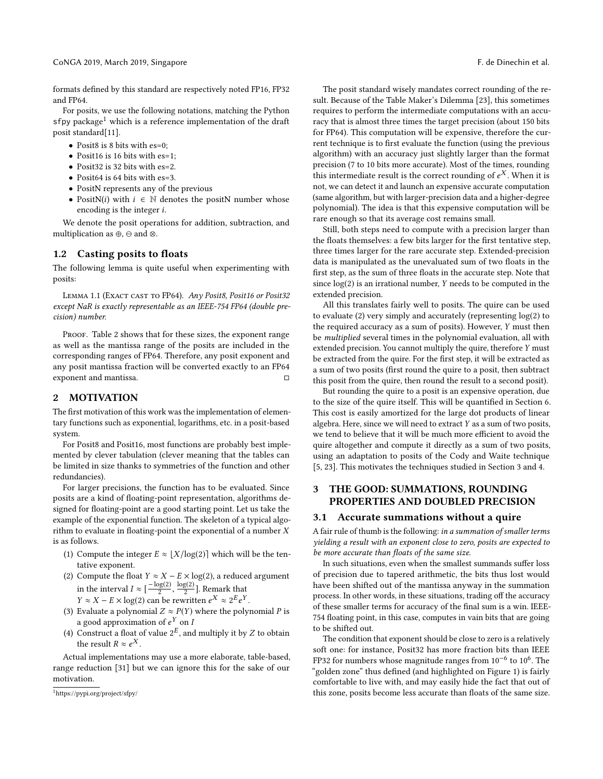formats defined by this standard are respectively noted FP16, FP32 and FP64.

For posits, we use the following notations, matching the Python sfpy package<sup>[1](#page-1-2)</sup> which is a reference implementation of the draft posit standard[\[11\]](#page-9-15).

- Posit8 is 8 bits with es=0;
- Posit16 is 16 bits with es=1;
- Posit32 is 32 bits with es=2.
- Posit64 is 64 bits with es=3.
- PositN represents any of the previous
- PositN(i) with  $i \in \mathbb{N}$  denotes the positN number whose encoding is the integer i.

We denote the posit operations for addition, subtraction, and multiplication as ⊕, ⊖ and ⊗.

## 1.2 Casting posits to floats

The following lemma is quite useful when experimenting with posits:

<span id="page-1-3"></span>LEMMA 1.1 (EXACT CAST TO FP64). Any Posit8, Posit16 or Posit32 except NaR is exactly representable as an IEEE-754 FP64 (double precision) number.

PROOF. Table [2](#page-6-1) shows that for these sizes, the exponent range as well as the mantissa range of the posits are included in the corresponding ranges of FP64. Therefore, any posit exponent and any posit mantissa fraction will be converted exactly to an FP64 exponent and mantissa.  $\hfill\Box$ 

## <span id="page-1-0"></span>2 MOTIVATION

The first motivation of this work was the implementation of elementary functions such as exponential, logarithms, etc. in a posit-based system.

For Posit8 and Posit16, most functions are probably best implemented by clever tabulation (clever meaning that the tables can be limited in size thanks to symmetries of the function and other redundancies).

For larger precisions, the function has to be evaluated. Since posits are a kind of floating-point representation, algorithms designed for floating-point are a good starting point. Let us take the example of the exponential function. The skeleton of a typical algorithm to evaluate in floating-point the exponential of a number  $X$ is as follows.

- (1) Compute the integer  $E \approx \lfloor X/\log(2) \rfloor$  which will be the tentative exponent.
- (2) Compute the float  $Y \approx X E \times \log(2)$ , a reduced argument in the interval  $I \approx \left[\frac{-\log(2)}{2}, \frac{\log(2)}{2}\right]$ . Remark that  $Y \approx X - E \times \log(2)$  can be rewritten  $e^X \approx 2^E e^Y$ .<br>
Evaluate a polynomial  $Z \approx P(Y)$  where the polynomial
- (3) Evaluate a polynomial  $Z \approx P(Y)$  where the polynomial P is a good approximation of  $e^Y$  on 1<br>Construct a float of value  $2^E$  and
- (4) Construct a float of value  $2^E$ , and multiply it by Z to obtain the result  $P \sim e^X$ the result  $R \approx e^X$ .

Actual implementations may use a more elaborate, table-based, range reduction [\[31\]](#page-9-19) but we can ignore this for the sake of our motivation.

The posit standard wisely mandates correct rounding of the result. Because of the Table Maker's Dilemma [\[23\]](#page-9-2), this sometimes requires to perform the intermediate computations with an accuracy that is almost three times the target precision (about 150 bits for FP64). This computation will be expensive, therefore the current technique is to first evaluate the function (using the previous algorithm) with an accuracy just slightly larger than the format precision (7 to 10 bits more accurate). Most of the times, rounding this intermediate result is the correct rounding of  $e^X$ . When it is<br>not we can detect it and launch an expensive accurate computation not, we can detect it and launch an expensive accurate computation (same algorithm, but with larger-precision data and a higher-degree polynomial). The idea is that this expensive computation will be rare enough so that its average cost remains small.

Still, both steps need to compute with a precision larger than the floats themselves: a few bits larger for the first tentative step, three times larger for the rare accurate step. Extended-precision data is manipulated as the unevaluated sum of two floats in the first step, as the sum of three floats in the accurate step. Note that since  $log(2)$  is an irrational number, Y needs to be computed in the extended precision.

All this translates fairly well to posits. The quire can be used to evaluate  $(2)$  very simply and accurately (representing  $log(2)$  to the required accuracy as a sum of posits). However, Y must then be multiplied several times in the polynomial evaluation, all with extended precision. You cannot multiply the quire, therefore Y must be extracted from the quire. For the first step, it will be extracted as a sum of two posits (first round the quire to a posit, then subtract this posit from the quire, then round the result to a second posit).

But rounding the quire to a posit is an expensive operation, due to the size of the quire itself. This will be quantified in Section [6.](#page-6-0) This cost is easily amortized for the large dot products of linear algebra. Here, since we will need to extract  $Y$  as a sum of two posits, we tend to believe that it will be much more efficient to avoid the quire altogether and compute it directly as a sum of two posits, using an adaptation to posits of the Cody and Waite technique [\[5,](#page-9-5) [23\]](#page-9-2). This motivates the techniques studied in Section [3](#page-1-1) and [4.](#page-3-0)

# <span id="page-1-1"></span>3 THE GOOD: SUMMATIONS, ROUNDING PROPERTIES AND DOUBLED PRECISION

## 3.1 Accurate summations without a quire

A fair rule of thumb is the following: in a summation of smaller terms yielding a result with an exponent close to zero, posits are expected to be more accurate than floats of the same size.

In such situations, even when the smallest summands suffer loss of precision due to tapered arithmetic, the bits thus lost would have been shifted out of the mantissa anyway in the summation process. In other words, in these situations, trading off the accuracy of these smaller terms for accuracy of the final sum is a win. IEEE-754 floating point, in this case, computes in vain bits that are going to be shifted out.

The condition that exponent should be close to zero is a relatively soft one: for instance, Posit32 has more fraction bits than IEEE FP32 for numbers whose magnitude ranges from  $10^{-6}$  to  $10^{6}$ . The "golden zone" thus defined (and highlighted on Figure [1\)](#page-5-0) is fairly comfortable to live with, and may easily hide the fact that out of this zone, posits become less accurate than floats of the same size.

<span id="page-1-2"></span><sup>1</sup>https://pypi.org/project/sfpy/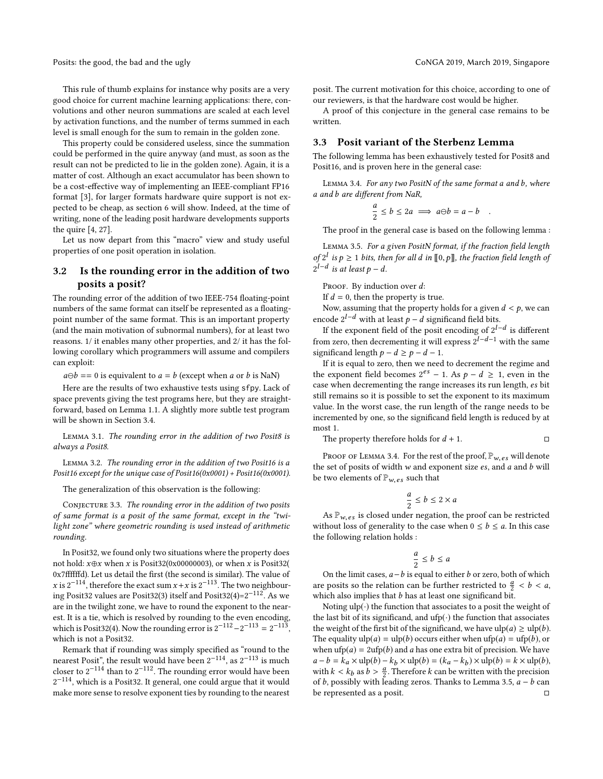This rule of thumb explains for instance why posits are a very good choice for current machine learning applications: there, convolutions and other neuron summations are scaled at each level by activation functions, and the number of terms summed in each level is small enough for the sum to remain in the golden zone.

This property could be considered useless, since the summation could be performed in the quire anyway (and must, as soon as the result can not be predicted to lie in the golden zone). Again, it is a matter of cost. Although an exact accumulator has been shown to be a cost-effective way of implementing an IEEE-compliant FP16 format [\[3\]](#page-9-20), for larger formats hardware quire support is not expected to be cheap, as section [6](#page-6-0) will show. Indeed, at the time of writing, none of the leading posit hardware developments supports the quire [\[4,](#page-9-21) [27\]](#page-9-22).

Let us now depart from this "macro" view and study useful properties of one posit operation in isolation.

## 3.2 Is the rounding error in the addition of two posits a posit?

The rounding error of the addition of two IEEE-754 floating-point numbers of the same format can itself be represented as a floatingpoint number of the same format. This is an important property (and the main motivation of subnormal numbers), for at least two reasons. 1/ it enables many other properties, and 2/ it has the following corollary which programmers will assume and compilers can exploit:

 $a\ominus b == 0$  is equivalent to  $a = b$  (except when a or b is NaN)

Here are the results of two exhaustive tests using sfpy. Lack of space prevents giving the test programs here, but they are straightforward, based on Lemma [1.1.](#page-1-3) A slightly more subtle test program will be shown in Section [3.4.](#page-3-1)

Lemma 3.1. The rounding error in the addition of two Posit8 is always a Posit8.

Lemma 3.2. The rounding error in the addition of two Posit16 is a Posit16 except for the unique case of  $Posit16(0x0001) + Posit16(0x0001)$ .

The generalization of this observation is the following:

CONJECTURE 3.3. The rounding error in the addition of two posits of same format is a posit of the same format, except in the "twilight zone" where geometric rounding is used instead of arithmetic rounding.

In Posit32, we found only two situations where the property does not hold:  $x \oplus x$  when x is Posit32(0x00000003), or when x is Posit32( 0x7ffffffd). Let us detail the first (the second is similar). The value of x is  $2^{-114}$ , therefore the exact sum  $x + x$  is  $2^{-113}$ . The two neighbour-<br>ing Posit32 values are Posit32(3) itself and Posit32(4)-2<sup>-112</sup>. As we ing Posit32 values are Posit32(3) itself and Posit32(4)=2 $^{-112}$ . As we are in the twilight zone, we have to round the exponent to the nearest. It is a tie, which is resolved by rounding to the even encoding, which is Posit32(4). Now the rounding error is  $2^{-112} - 2^{-113} = 2^{-113}$ , which is not a Posit32.

Remark that if rounding was simply specified as "round to the nearest Posit", the result would have been  $2^{-114}$ , as  $2^{-113}$  is much closer to  $2^{-114}$  than to  $2^{-112}$ . The rounding error would have been 2 <sup>−</sup>114, which is a Posit32. It general, one could argue that it would make more sense to resolve exponent ties by rounding to the nearest posit. The current motivation for this choice, according to one of our reviewers, is that the hardware cost would be higher.

A proof of this conjecture in the general case remains to be written.

## 3.3 Posit variant of the Sterbenz Lemma

The following lemma has been exhaustively tested for Posit8 and Posit16, and is proven here in the general case:

<span id="page-2-0"></span>LEMMA 3.4. For any two PositN of the same format a and b, where a and b are different from NaR,

$$
\frac{a}{2} \le b \le 2a \implies a \ominus b = a - b \quad .
$$

The proof in the general case is based on the following lemma :

<span id="page-2-1"></span>Lemma 3.5. For a given PositN format, if the fraction field length of  $2^l$  is  $p \ge 1$  bits, then for all d in  $[0, p]$ , the fraction field length of  $2^{l-d}$  is at least  $p - d$  $2^{l-d}$  is at least  $p-d$ .

PROOF. By induction over  $d$ :

If  $d = 0$ , then the property is true.

Now, assuming that the property holds for a given  $d < p$ , we can encode  $2^{l-d}$  with at least  $p - d$  significand field bits.<br>If the exponent field of the posit encoding of  $2^{l-d}$ 

If the exponent field of the posit encoding of  $2^{l-d}$  is different from zero, then decrementing it will express  $2^{l-d-1}$  with the same significand length  $p - d \ge p - d - 1$ .

If it is equal to zero, then we need to decrement the regime and the exponent field becomes  $2^{es} - 1$ . As  $p - d \ge 1$ , even in the case when decrementing the range increases its run length es hit case when decrementing the range increases its run length, es bit still remains so it is possible to set the exponent to its maximum value. In the worst case, the run length of the range needs to be incremented by one, so the significand field length is reduced by at most 1.

The property therefore holds for  $d + 1$ .  $\Box$ 

PROOF OF LEMMA [3.4.](#page-2-0) For the rest of the proof,  $\mathbb{P}_{w,es}$  will denote the set of posits of width  $w$  and exponent size  $es$ , and  $a$  and  $b$  will be two elements of  $\mathbb{P}_{w,es}$  such that

$$
\frac{a}{2} \leq b \leq 2 \times a
$$

As  $\mathbb{P}_{w,es}$  is closed under negation, the proof can be restricted without loss of generality to the case when  $0 \leq b \leq a$ . In this case the following relation holds :

$$
\frac{a}{2} \le b \le a
$$

On the limit cases,  $a-b$  is equal to either b or zero, both of which<br>consists so the relation can be further restricted to  $\frac{a}{b} < b < a$ are posits so the relation can be further restricted to  $\frac{a}{2} < b < a$ , which also implies that  $b$  has at least one significand bit.

Noting  $ulp(·)$  the function that associates to a posit the weight of the last bit of its significand, and  $\text{ufp}(\cdot)$  the function that associates the weight of the first bit of the significand, we have  $\text{ulp}(a) \ge \text{ulp}(b)$ . The equality  $\text{ulp}(a) = \text{ulp}(b)$  occurs either when  $\text{ufp}(a) = \text{ufp}(b)$ , or when  $\text{ufp}(a) = 2\text{ufp}(b)$  and a has one extra bit of precision. We have  $a - b = k_a \times \text{ulp}(b) - k_b \times \text{ulp}(b) = (k_a - k_b) \times \text{ulp}(b) = k \times \text{ulp}(b)$ with  $k < k_b$  as  $b > \frac{a}{2}$ . Therefore k can be written with the precision of h possibly with leading zeros. Thanks to Lemma 3.5,  $a - b$  can of *b*, possibly with leading zeros. Thanks to Lemma [3.5,](#page-2-1) *a* − *b* can be represented as a posit. be represented as a posit.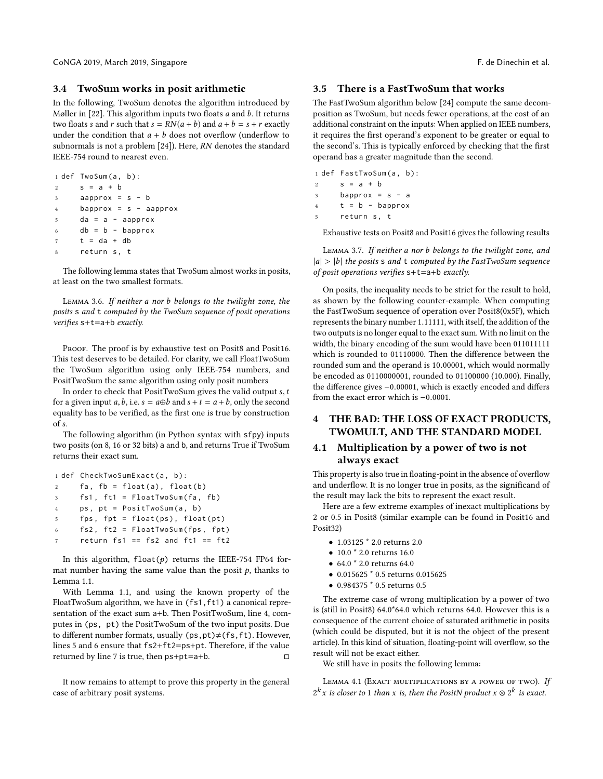## <span id="page-3-1"></span>3.4 TwoSum works in posit arithmetic

In the following, TwoSum denotes the algorithm introduced by Møller in  $[22]$ . This algorithm inputs two floats  $a$  and  $b$ . It returns two floats s and r such that  $s = RN(a + b)$  and  $a + b = s + r$  exactly under the condition that  $a + b$  does not overflow (underflow to subnormals is not a problem [\[24\]](#page-9-4)). Here, RN denotes the standard IEEE-754 round to nearest even.

```
1 def TwoSum(a, b):
2 s = a + b3 aapprox = s - b4 bapprox = s - aapprox
5 da = a - aapprox
6 db = b - bapprox
    t = da + dbreturn s, t
```
The following lemma states that TwoSum almost works in posits, at least on the two smallest formats.

Lemma 3.6. If neither a nor b belongs to the twilight zone, the posits s and t computed by the TwoSum sequence of posit operations verifies s+t=a+b exactly.

PROOF. The proof is by exhaustive test on Posit8 and Posit16. This test deserves to be detailed. For clarity, we call FloatTwoSum the TwoSum algorithm using only IEEE-754 numbers, and PositTwoSum the same algorithm using only posit numbers

In order to check that PositTwoSum gives the valid output  $s, t$ for a given input a, b, i.e.  $s = a \oplus b$  and  $s + t = a + b$ , only the second equality has to be verified, as the first one is true by construction of s.

The following algorithm (in Python syntax with sfpy) inputs two posits (on 8, 16 or 32 bits) a and b, and returns True if TwoSum returns their exact sum.

```
1 def CheckTwoSumExact(a, b):
2 fa, fb = float(a), float(b)
3 fs1, ft1 = FloatTwoSum(fa, fb)
4 ps, pt = PositTwoSum(a, b)
     fps, fpt = float(ps), float(pt)fs2, ft2 = FloatTwoSum(fps, fpt)return fs1 == fs2 and ft1 == ft2
```
In this algorithm,  $float(p)$  returns the IEEE-754 FP64 format number having the same value than the posit  $p$ , thanks to Lemma [1.1.](#page-1-3)

With Lemma [1.1,](#page-1-3) and using the known property of the FloatTwoSum algorithm, we have in (fs1, ft1) a canonical representation of the exact sum a+b. Then PositTwoSum, line 4, computes in (ps, pt) the PositTwoSum of the two input posits. Due to different number formats, usually  $(ps,pt)\neq(fs,ft)$ . However, lines 5 and 6 ensure that fs2+ft2=ps+pt. Therefore, if the value returned by line 7 is true, then  $ps+pt=a+b$ .

It now remains to attempt to prove this property in the general case of arbitrary posit systems.

#### 3.5 There is a FastTwoSum that works

The FastTwoSum algorithm below [\[24\]](#page-9-4) compute the same decomposition as TwoSum, but needs fewer operations, at the cost of an additional constraint on the inputs: When applied on IEEE numbers, it requires the first operand's exponent to be greater or equal to the second's. This is typically enforced by checking that the first operand has a greater magnitude than the second.

```
1 def FastTwoSum(a, b):
2 s = a + b3 bapprox = s - a
4 t = b - bapprox
5 return s, t
```
Exhaustive tests on Posit8 and Posit16 gives the following results

Lemma 3.7. If neither a nor b belongs to the twilight zone, and  $|a| > |b|$  the posits s and t computed by the FastTwoSum sequence of posit operations verifies s+t=a+b exactly.

On posits, the inequality needs to be strict for the result to hold, as shown by the following counter-example. When computing the FastTwoSum sequence of operation over Posit8(0x5F), which represents the binary number <sup>1</sup>.11111, with itself, the addition of the two outputs is no longer equal to the exact sum. With no limit on the width, the binary encoding of the sum would have been 011011111 which is rounded to 01110000. Then the difference between the rounded sum and the operand is <sup>10</sup>.00001, which would normally be encoded as 0110000001, rounded to 01100000 (10.000). Finally, the difference gives <sup>−</sup>0.00001, which is exactly encoded and differs from the exact error which is <sup>−</sup>0.0001.

## <span id="page-3-0"></span>4 THE BAD: THE LOSS OF EXACT PRODUCTS, TWOMULT, AND THE STANDARD MODEL

## <span id="page-3-2"></span>4.1 Multiplication by a power of two is not always exact

This property is also true in floating-point in the absence of overflow and underflow. It is no longer true in posits, as the significand of the result may lack the bits to represent the exact result.

Here are a few extreme examples of inexact multiplications by 2 or 0.5 in Posit8 (similar example can be found in Posit16 and Posit32)

- 1.03125 \* 2.0 returns 2.0
- 10.0 \* 2.0 returns 16.0
- 64.0 \* 2.0 returns 64.0
- 0.015625 \* 0.5 returns 0.015625
- 0.984375 \* 0.5 returns 0.5

The extreme case of wrong multiplication by a power of two is (still in Posit8) 64.0\*64.0 which returns 64.0. However this is a consequence of the current choice of saturated arithmetic in posits (which could be disputed, but it is not the object of the present article). In this kind of situation, floating-point will overflow, so the result will not be exact either.

We still have in posits the following lemma:

LEMMA 4.1 (EXACT MULTIPLICATIONS BY A POWER OF TWO). If  $2^k x$  is closer to 1 than x is, then the PositN product  $x \otimes 2^k$  is exact.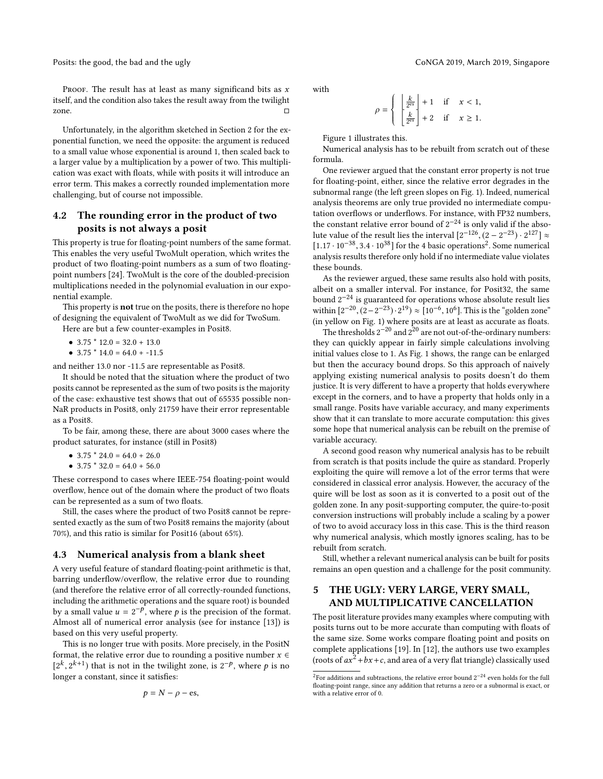PROOF. The result has at least as many significand bits as  $x$ itself, and the condition also takes the result away from the twilight zone.  $\Box$ 

Unfortunately, in the algorithm sketched in Section [2](#page-1-0) for the exponential function, we need the opposite: the argument is reduced to a small value whose exponential is around 1, then scaled back to a larger value by a multiplication by a power of two. This multiplication was exact with floats, while with posits it will introduce an error term. This makes a correctly rounded implementation more challenging, but of course not impossible.

## 4.2 The rounding error in the product of two posits is not always a posit

This property is true for floating-point numbers of the same format. This enables the very useful TwoMult operation, which writes the product of two floating-point numbers as a sum of two floatingpoint numbers [\[24\]](#page-9-4). TwoMult is the core of the doubled-precision multiplications needed in the polynomial evaluation in our exponential example.

This property is **not** true on the posits, there is therefore no hope of designing the equivalent of TwoMult as we did for TwoSum. Here are but a few counter-examples in Posit8.

• 3.75  $*$  12.0 = 32.0 + 13.0

• 3.75  $*$  14.0 = 64.0 + -11.5

and neither 13.0 nor -11.5 are representable as Posit8.

It should be noted that the situation where the product of two posits cannot be represented as the sum of two posits is the majority of the case: exhaustive test shows that out of 65535 possible non-NaR products in Posit8, only 21759 have their error representable as a Posit8.

To be fair, among these, there are about 3000 cases where the product saturates, for instance (still in Posit8)

- 3.75  $*$  24.0 = 64.0 + 26.0
- 3.75  $*$  32.0 = 64.0 + 56.0

These correspond to cases where IEEE-754 floating-point would overflow, hence out of the domain where the product of two floats can be represented as a sum of two floats.

Still, the cases where the product of two Posit8 cannot be represented exactly as the sum of two Posit8 remains the majority (about 70%), and this ratio is similar for Posit16 (about 65%).

#### 4.3 Numerical analysis from a blank sheet

A very useful feature of standard floating-point arithmetic is that, barring underflow/overflow, the relative error due to rounding (and therefore the relative error of all correctly-rounded functions, including the arithmetic operations and the square root) is bounded by a small value  $u = 2^{-p}$ , where p is the precision of the format.<br>Almost all of numerical error analysis (see for instance [13]) is Almost all of numerical error analysis (see for instance [\[13\]](#page-9-16)) is based on this very useful property.

This is no longer true with posits. More precisely, in the PositN format, the relative error due to rounding a positive number  $x \in$  $[2^k, 2^{k+1})$  that is not in the twilight zone, is  $2^{-p}$ , where p is no<br>longer a constant since it satisfies. longer a constant, since it satisfies:

$$
p = N - \rho - \mathrm{es},
$$

with

$$
\rho = \begin{cases} \left\lfloor \frac{k}{2^{es}} \right\rfloor + 1 & \text{if } x < 1, \\ \left\lfloor \frac{k}{2^{es}} \right\rfloor + 2 & \text{if } x \ge 1. \end{cases}
$$

J Figure [1](#page-5-0) illustrates this.

Numerical analysis has to be rebuilt from scratch out of these formula.

One reviewer argued that the constant error property is not true for floating-point, either, since the relative error degrades in the subnormal range (the left green slopes on Fig. [1\)](#page-5-0). Indeed, numerical analysis theorems are only true provided no intermediate computation overflows or underflows. For instance, with FP32 numbers, the constant relative error bound of  $2^{-24}$  is only valid if the absolute value of the result lies the interval  $[2^{-126}, (2 - 2^{-23}) \cdot 2^{127}] \approx$ <br>[1.17, 10<sup>-38</sup>, 3.4, 10<sup>38</sup>] for the 4 basic operations<sup>2</sup>. Some numerical  $[1.17 \cdot 10^{-38}, 3.4 \cdot 10^{38}]$  for the 4 basic operations<sup>[2](#page-4-1)</sup>. Some numerical<br>applying results therefore only hold if no intermediate value violates analysis results therefore only hold if no intermediate value violates these bounds.

As the reviewer argued, these same results also hold with posits, albeit on a smaller interval. For instance, for Posit32, the same bound  $2^{-24}$  is guaranteed for operations whose absolute result lies within  $[2^{-20}, (2-2^{-23}) \cdot 2^{19}) \approx [10^{-6}, 10^{6}]$ . This is the "golden zone"<br>(in vallow on Fig. 1) where posits are at least as accurate as floats. (in yellow on Fig. [1\)](#page-5-0) where posits are at least as accurate as floats.

The thresholds  $2^{-20}$  and  $2^{20}$  are not out-of-the-ordinary numbers: they can quickly appear in fairly simple calculations involving initial values close to 1. As Fig. [1](#page-5-0) shows, the range can be enlarged but then the accuracy bound drops. So this approach of naively applying existing numerical analysis to posits doesn't do them justice. It is very different to have a property that holds everywhere except in the corners, and to have a property that holds only in a small range. Posits have variable accuracy, and many experiments show that it can translate to more accurate computation: this gives some hope that numerical analysis can be rebuilt on the premise of variable accuracy.

A second good reason why numerical analysis has to be rebuilt from scratch is that posits include the quire as standard. Properly exploiting the quire will remove a lot of the error terms that were considered in classical error analysis. However, the accuracy of the quire will be lost as soon as it is converted to a posit out of the golden zone. In any posit-supporting computer, the quire-to-posit conversion instructions will probably include a scaling by a power of two to avoid accuracy loss in this case. This is the third reason why numerical analysis, which mostly ignores scaling, has to be rebuilt from scratch.

Still, whether a relevant numerical analysis can be built for posits remains an open question and a challenge for the posit community.

## <span id="page-4-0"></span>5 THE UGLY: VERY LARGE, VERY SMALL, AND MULTIPLICATIVE CANCELLATION

The posit literature provides many examples where computing with posits turns out to be more accurate than computing with floats of the same size. Some works compare floating point and posits on complete applications [\[19\]](#page-9-24). In [\[12\]](#page-9-17), the authors use two examples (roots of  $ax^2 + bx + c$ , and area of a very flat triangle) classically used

<span id="page-4-1"></span> $^{2}$ For additions and subtractions, the relative error bound  $2^{-24}$  even holds for the full floating-point range, since any addition that returns a zero or a subnormal is exact, or with a relative error of 0.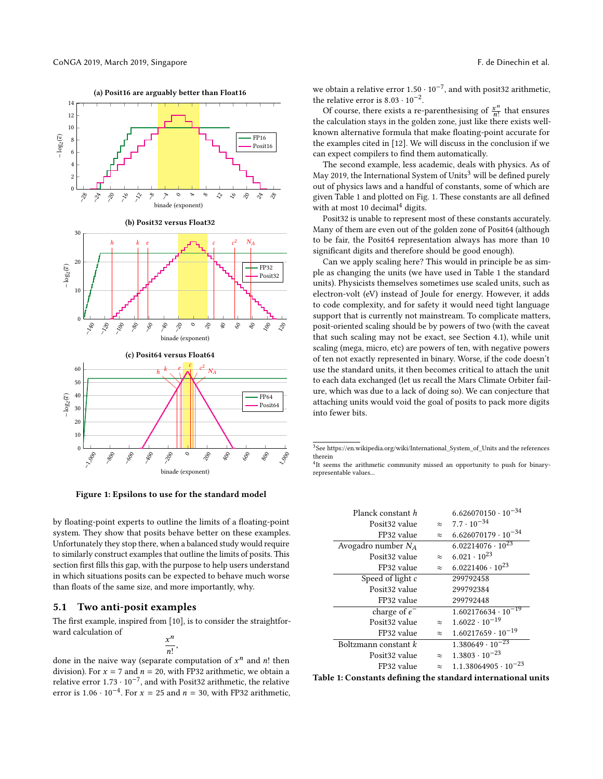<span id="page-5-0"></span>

binade (exponent)

Figure 1: Epsilons to use for the standard model

by floating-point experts to outline the limits of a floating-point system. They show that posits behave better on these examples. Unfortunately they stop there, when a balanced study would require to similarly construct examples that outline the limits of posits. This section first fills this gap, with the purpose to help users understand in which situations posits can be expected to behave much worse than floats of the same size, and more importantly, why.

#### 5.1 Two anti-posit examples

The first example, inspired from [\[10\]](#page-9-25), is to consider the straightforward calculation of n

$$
\frac{x^n}{n!},
$$

n!'<br>te c done in the naive way (separate computation of  $x^n$  and n! then<br>division) For  $x = 7$  and  $n = 20$  with EP32 arithmetic we obtain a division). For  $x = 7$  and  $n = 20$ , with FP32 arithmetic, we obtain a relative error 1.73 ·  $10^{-7}$ , and with Posit32 arithmetic, the relative error is  $1.06 \times 10^{-4}$ . For  $x = 25$  and  $y = 30$ , with EP32 arithmetic error is  $1.06 \cdot 10^{-4}$ . For  $x = 25$  and  $n = 30$ , with FP32 arithmetic, we obtain a relative error  $1.50 \cdot 10^{-7}$ , and with posit32 arithmetic, the relative error is 8.03  $\cdot 10^{-2}$ the relative error is  $8.03 \cdot 10^{-2}$ .<br>Of course there exists a re-

Of course, there exists a re-parenthesising of  $\frac{x^n}{n!}$  $\frac{x^{n}}{n!}$  that ensures the calculation stays in the golden zone, just like there exists wellknown alternative formula that make floating-point accurate for the examples cited in [\[12\]](#page-9-17). We will discuss in the conclusion if we can expect compilers to find them automatically.

The second example, less academic, deals with physics. As of May 2019, the International System of Units<sup>[3](#page-5-1)</sup> will be defined purely out of physics laws and a handful of constants, some of which are given Table [1](#page-5-2) and plotted on Fig. [1.](#page-5-0) These constants are all defined with at most 10 decimal<sup>[4](#page-5-3)</sup> digits.

Posit32 is unable to represent most of these constants accurately. Many of them are even out of the golden zone of Posit64 (although to be fair, the Posit64 representation always has more than 10 significant digits and therefore should be good enough).

Can we apply scaling here? This would in principle be as simple as changing the units (we have used in Table [1](#page-5-2) the standard units). Physicists themselves sometimes use scaled units, such as electron-volt (eV) instead of Joule for energy. However, it adds to code complexity, and for safety it would need tight language support that is currently not mainstream. To complicate matters, posit-oriented scaling should be by powers of two (with the caveat that such scaling may not be exact, see Section [4.1\)](#page-3-2), while unit scaling (mega, micro, etc) are powers of ten, with negative powers of ten not exactly represented in binary. Worse, if the code doesn't use the standard units, it then becomes critical to attach the unit to each data exchanged (let us recall the Mars Climate Orbiter failure, which was due to a lack of doing so). We can conjecture that attaching units would void the goal of posits to pack more digits into fewer bits.

<span id="page-5-3"></span><sup>4</sup>It seems the arithmetic community missed an opportunity to push for binaryrepresentable values...

<span id="page-5-2"></span>

| Planck constant h                                            |           | $6.626070150\cdot 10^{-34}$   |  |
|--------------------------------------------------------------|-----------|-------------------------------|--|
| Posit32 value                                                | $\approx$ | $7.7 \cdot 10^{-34}$          |  |
| FP32 value                                                   | $\approx$ | $6.626070179\cdot 10^{-34}$   |  |
| Avogadro number $N_A$                                        |           | $6.02214076 \cdot 10^{23}$    |  |
| Posit32 value                                                | $\approx$ | $6.021 \cdot 10^{23}$         |  |
| FP32 value                                                   | $\approx$ | $6.0221406 \cdot 10^{23}$     |  |
| Speed of light c                                             |           | 299792458                     |  |
| Posit32 value                                                |           | 299792384                     |  |
| FP32 value                                                   |           | 299792448                     |  |
| charge of $e^-$                                              |           | $1.602176634 \cdot 10^{-19}$  |  |
| Posit32 value                                                | $\approx$ | $1.6022 \cdot 10^{-19}$       |  |
| FP32 value                                                   | $\approx$ | $1.60217659 \cdot 10^{-19}$   |  |
| Boltzmann constant k                                         |           | $1.380649 \cdot 10^{-23}$     |  |
| Posit32 value                                                | $\approx$ | $1.3803 \cdot 10^{-23}$       |  |
| FP32 value                                                   | $\approx$ | $1.1.38064905 \cdot 10^{-23}$ |  |
| Table 1: Constants defining the standard international units |           |                               |  |

<span id="page-5-1"></span><sup>3</sup> See [https://en.wikipedia.org/wiki/International\\_System\\_of\\_Units](https://en.wikipedia.org/wiki/International_System_of_Units) and the references therein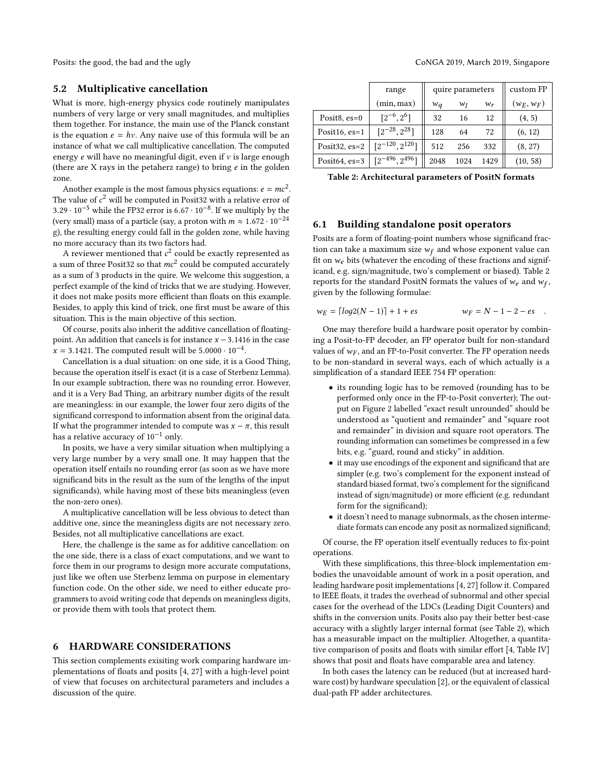Posits: the good, the bad and the ugly extra extra extra extra extra extra extra extra extra extra extra extra extra extra extra extra extra extra extra extra extra extra extra extra extra extra extra extra extra extra ext

#### 5.2 Multiplicative cancellation

What is more, high-energy physics code routinely manipulates numbers of very large or very small magnitudes, and multiplies them together. For instance, the main use of the Planck constant is the equation  $e = hv$ . Any naive use of this formula will be an instance of what we call multiplicative cancellation. The computed energy  $e$  will have no meaningful digit, even if  $v$  is large enough (there are X rays in the petaherz range) to bring  $e$  in the golden zone.

Another example is the most famous physics equations:  $e = mc^2$ .<br>e value of  $c^2$  will be computed in Posit32 with a relative error of The value of  $c^2$  will be computed in Posit32 with a relative error of  $3.29 \cdot 10^{-5}$  while the FP32 error is 6.67,  $10^{-8}$  If we multiply by the  $3.29 \cdot 10^{-5}$  while the FP32 error is 6.67 ·  $10^{-8}$ . If we multiply by the tree tree of a particle (say a proton with  $m \approx 1.672 \cdot 10^{-24}$ ) (very small) mass of a particle (say, a proton with  $m \approx 1.672 \cdot 10^{-24}$ g), the resulting energy could fall in the golden zone, while having no more accuracy than its two factors had.

A reviewer mentioned that  $c^2$  could be exactly represented as<br>um of three Posit<sup>32</sup> so that  $mc^2$  could be computed accurately a sum of three Posit32 so that  $mc^2$  could be computed accurately<br>as a sum of 3 products in the quire We welcome this suggestion as as a sum of 3 products in the quire. We welcome this suggestion, a perfect example of the kind of tricks that we are studying. However, it does not make posits more efficient than floats on this example. Besides, to apply this kind of trick, one first must be aware of this situation. This is the main objective of this section.

Of course, posits also inherit the additive cancellation of floatingpoint. An addition that cancels is for instance  $x - 3.1416$  in the case  $x = 3.1421$ . The computed result will be  $5.0000 \cdot 10^{-4}$ .<br>Cancellation is a dual situation: on one side it is a t

Cancellation is a dual situation: on one side, it is a Good Thing, because the operation itself is exact (it is a case of Sterbenz Lemma). In our example subtraction, there was no rounding error. However, and it is a Very Bad Thing, an arbitrary number digits of the result are meaningless: in our example, the lower four zero digits of the significand correspond to information absent from the original data. If what the programmer intended to compute was  $x - \pi$ , this result has a relative accuracy of 10−<sup>1</sup> only.

In posits, we have a very similar situation when multiplying a very large number by a very small one. It may happen that the operation itself entails no rounding error (as soon as we have more significand bits in the result as the sum of the lengths of the input significands), while having most of these bits meaningless (even the non-zero ones).

A multiplicative cancellation will be less obvious to detect than additive one, since the meaningless digits are not necessary zero. Besides, not all multiplicative cancellations are exact.

Here, the challenge is the same as for additive cancellation: on the one side, there is a class of exact computations, and we want to force them in our programs to design more accurate computations, just like we often use Sterbenz lemma on purpose in elementary function code. On the other side, we need to either educate programmers to avoid writing code that depends on meaningless digits, or provide them with tools that protect them.

#### <span id="page-6-0"></span>6 HARDWARE CONSIDERATIONS

This section complements exisiting work comparing hardware implementations of floats and posits [\[4,](#page-9-21) [27\]](#page-9-22) with a high-level point of view that focuses on architectural parameters and includes a discussion of the quire.

<span id="page-6-1"></span>

|                      | range                 | quire parameters |                |       | custom FP    |
|----------------------|-----------------------|------------------|----------------|-------|--------------|
|                      | (min, max)            | $w_a$            | W <sub>1</sub> | $W_r$ | $(w_E, w_F)$ |
| Posit8, es=0         | $[2^{-6}, 2^{6}]$     | 32               | 16             | 12    | (4, 5)       |
| Posit16, $es=1$      | $[2^{-28}, 2^{28}]$   | 128              | 64             | 72    | (6, 12)      |
| Posit $32$ , es= $2$ | $[2^{-120}, 2^{120}]$ | 512              | 256            | 332   | (8, 27)      |
| Posit $64$ , es= $3$ | $[2^{-496}, 2^{496}]$ | 2048             | 1024           | 1429  | (10, 58)     |
|                      |                       |                  |                |       |              |

Table 2: Architectural parameters of PositN formats

#### 6.1 Building standalone posit operators

Posits are a form of floating-point numbers whose significand fraction can take a maximum size  $w_f$  and whose exponent value can fit on  $w_e$  bits (whatever the encoding of these fractions and significand, e.g. sign/magnitude, two's complement or biased). Table [2](#page-6-1) reports for the standard PositN formats the values of  $w_e$  and  $w_f$ , given by the following formulae: given by the following formulae:

$$
w_E = \lceil log2(N-1) \rceil + 1 + es \qquad w_F = N - 1 - 2 - es \ .
$$

One may therefore build a hardware posit operator by combining a Posit-to-FP decoder, an FP operator built for non-standard values of  $w_F$ , and an FP-to-Posit converter. The FP operation needs to be non-standard in several ways, each of which actually is a simplification of a standard IEEE 754 FP operation:

- its rounding logic has to be removed (rounding has to be performed only once in the FP-to-Posit converter); The output on Figure [2](#page-7-0) labelled "exact result unrounded" should be understood as "quotient and remainder" and "square root and remainder" in division and square root operators. The rounding information can sometimes be compressed in a few bits, e.g. "guard, round and sticky" in addition.
- it may use encodings of the exponent and significand that are simpler (e.g. two's complement for the exponent instead of standard biased format, two's complement for the significand instead of sign/magnitude) or more efficient (e.g. redundant form for the significand);
- it doesn't need to manage subnormals, as the chosen intermediate formats can encode any posit as normalized significand;

Of course, the FP operation itself eventually reduces to fix-point operations.

With these simplifications, this three-block implementation embodies the unavoidable amount of work in a posit operation, and leading hardware posit implementations [\[4,](#page-9-21) [27\]](#page-9-22) follow it. Compared to IEEE floats, it trades the overhead of subnormal and other special cases for the overhead of the LDCs (Leading Digit Counters) and shifts in the conversion units. Posits also pay their better best-case accuracy with a slightly larger internal format (see Table [2\)](#page-6-1), which has a measurable impact on the multiplier. Altogether, a quantitative comparison of posits and floats with similar effort [\[4,](#page-9-21) Table IV] shows that posit and floats have comparable area and latency.

In both cases the latency can be reduced (but at increased hardware cost) by hardware speculation [\[2\]](#page-9-26), or the equivalent of classical dual-path FP adder architectures.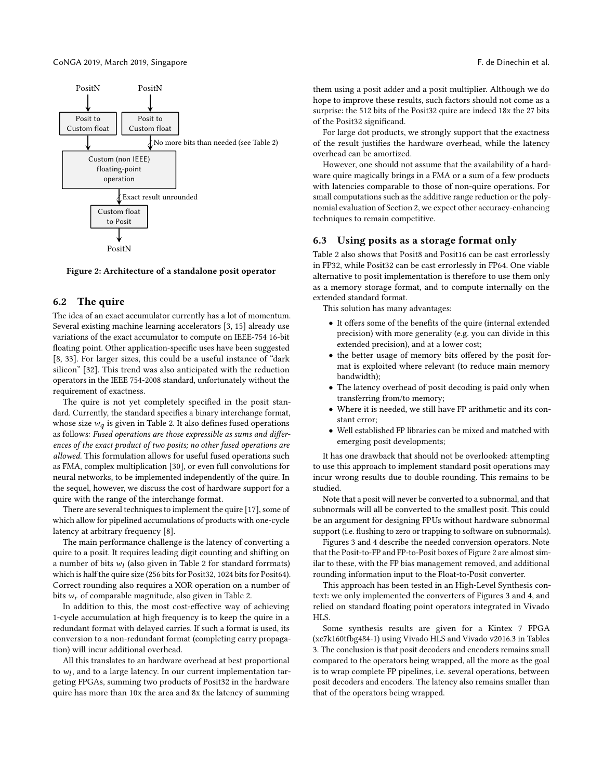<span id="page-7-0"></span>

#### Figure 2: Architecture of a standalone posit operator

#### 6.2 The quire

The idea of an exact accumulator currently has a lot of momentum. Several existing machine learning accelerators [\[3,](#page-9-20) [15\]](#page-9-27) already use variations of the exact accumulator to compute on IEEE-754 16-bit floating point. Other application-specific uses have been suggested [\[8,](#page-9-28) [33\]](#page-9-29). For larger sizes, this could be a useful instance of "dark silicon" [\[32\]](#page-9-30). This trend was also anticipated with the reduction operators in the IEEE 754-2008 standard, unfortunately without the requirement of exactness.

The quire is not yet completely specified in the posit standard. Currently, the standard specifies a binary interchange format, whose size  $w_q$  is given in Table [2.](#page-6-1) It also defines fused operations as follows: Fused operations are those expressible as sums and differences of the exact product of two posits; no other fused operations are allowed. This formulation allows for useful fused operations such as FMA, complex multiplication [\[30\]](#page-9-31), or even full convolutions for neural networks, to be implemented independently of the quire. In the sequel, however, we discuss the cost of hardware support for a quire with the range of the interchange format.

There are several techniques to implement the quire [\[17\]](#page-9-14), some of which allow for pipelined accumulations of products with one-cycle latency at arbitrary frequency [\[8\]](#page-9-28).

The main performance challenge is the latency of converting a quire to a posit. It requires leading digit counting and shifting on a number of bits  $w_l$  (also given in Table [2](#page-6-1) for standard forrmats)<br>which is half the quire size (256 bits for Posit32, 1024 bits for Posit64) which is half the quire size (256 bits for Posit32, 1024 bits for Posit64). Correct rounding also requires a XOR operation on a number of bits  $w_r$  of comparable magnitude, also given in Table [2.](#page-6-1)

In addition to this, the most cost-effective way of achieving 1-cycle accumulation at high frequency is to keep the quire in a redundant format with delayed carries. If such a format is used, its conversion to a non-redundant format (completing carry propagation) will incur additional overhead.

All this translates to an hardware overhead at best proportional to  $w_l$ , and to a large latency. In our current implementation tar-<br>geting EPCAs, summing two products of Posit32 in the bardware geting FPGAs, summing two products of Posit32 in the hardware quire has more than 10x the area and 8x the latency of summing

them using a posit adder and a posit multiplier. Although we do hope to improve these results, such factors should not come as a surprise: the 512 bits of the Posit32 quire are indeed 18x the 27 bits of the Posit32 significand.

For large dot products, we strongly support that the exactness of the result justifies the hardware overhead, while the latency overhead can be amortized.

However, one should not assume that the availability of a hardware quire magically brings in a FMA or a sum of a few products with latencies comparable to those of non-quire operations. For small computations such as the additive range reduction or the polynomial evaluation of Section [2,](#page-1-0) we expect other accuracy-enhancing techniques to remain competitive.

#### 6.3 Using posits as a storage format only

Table [2](#page-6-1) also shows that Posit8 and Posit16 can be cast errorlessly in FP32, while Posit32 can be cast errorlessly in FP64. One viable alternative to posit implementation is therefore to use them only as a memory storage format, and to compute internally on the extended standard format.

This solution has many advantages:

- It offers some of the benefits of the quire (internal extended precision) with more generality (e.g. you can divide in this extended precision), and at a lower cost;
- the better usage of memory bits offered by the posit format is exploited where relevant (to reduce main memory bandwidth);
- The latency overhead of posit decoding is paid only when transferring from/to memory;
- Where it is needed, we still have FP arithmetic and its constant error;
- Well established FP libraries can be mixed and matched with emerging posit developments;

It has one drawback that should not be overlooked: attempting to use this approach to implement standard posit operations may incur wrong results due to double rounding. This remains to be studied.

Note that a posit will never be converted to a subnormal, and that subnormals will all be converted to the smallest posit. This could be an argument for designing FPUs without hardware subnormal support (i.e. flushing to zero or trapping to software on subnormals).

Figures [3](#page-8-1) and [4](#page-8-2) describe the needed conversion operators. Note that the Posit-to-FP and FP-to-Posit boxes of Figure [2](#page-7-0) are almost similar to these, with the FP bias management removed, and additional rounding information input to the Float-to-Posit converter.

This approach has been tested in an High-Level Synthesis context: we only implemented the converters of Figures [3](#page-8-1) and [4,](#page-8-2) and relied on standard floating point operators integrated in Vivado HLS.

Some synthesis results are given for a Kintex 7 FPGA (xc7k160tfbg484-1) using Vivado HLS and Vivado v2016.3 in Tables [3.](#page-8-3) The conclusion is that posit decoders and encoders remains small compared to the operators being wrapped, all the more as the goal is to wrap complete FP pipelines, i.e. several operations, between posit decoders and encoders. The latency also remains smaller than that of the operators being wrapped.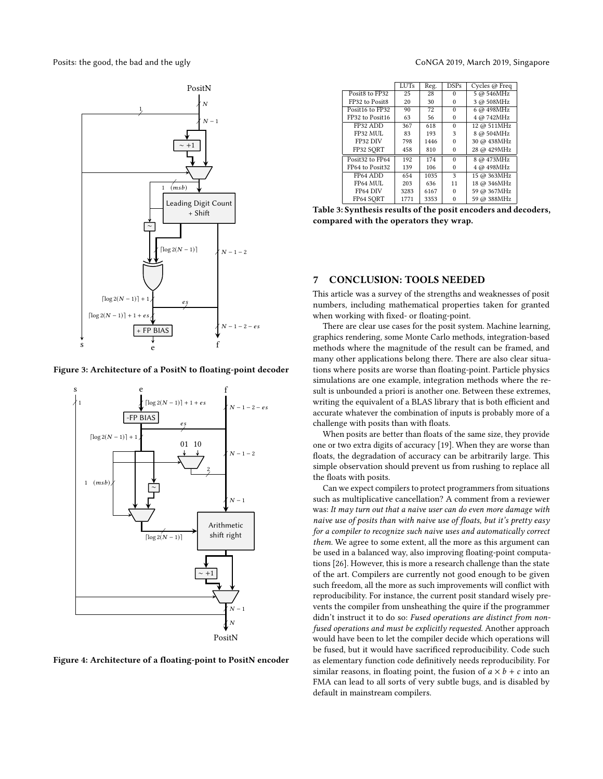<span id="page-8-1"></span>Posits: the good, the bad and the ugly extra extra extra extra extra extra extra extra extra extra extra extra extra extra extra extra extra extra extra extra extra extra extra extra extra extra extra extra extra extra ext



Figure 3: Architecture of a PositN to floating-point decoder

<span id="page-8-2"></span>

Figure 4: Architecture of a floating-point to PositN encoder

<span id="page-8-3"></span>

|                                         | LUTs | Reg. | DSPs     | Cycles @ Freq |
|-----------------------------------------|------|------|----------|---------------|
| Posit8 to FP32                          | 25   | 28   | $\Omega$ | 5 @ 546MHz    |
| FP32 to Posit8                          | 20   | 30   | $\Omega$ | 3 @ 508MHz    |
| Posit16 to FP32                         | 90   | 72   | $\theta$ | 6 @ 498MHz    |
| FP32 to Posit16                         | 63   | 56   | $\Omega$ | 4 @ 742MHz    |
| FP32 ADD                                | 367  | 618  | $\theta$ | 12 @ 511MHz   |
| FP32 MUL                                | 83   | 193  | 3        | 8 @ 504MHz    |
| FP32 DIV                                | 798  | 1446 | $\Omega$ | 30 @ 438MHz   |
| FP32 SORT                               | 458  | 810  | $\Omega$ | 28 @ 429MHz   |
| Posit <sub>32</sub> to FP <sub>64</sub> | 192  | 174  | $\Omega$ | 8 @ 473MHz    |
| FP64 to Posit32                         | 139  | 106  | $\Omega$ | 4 @ 498MHz    |
| FP64 ADD                                | 654  | 1035 | 3        | 15 @ 363MHz   |
| FP64 MUL                                | 203  | 636  | 11       | 18 @ 346MHz   |
| FP64 DIV                                | 3283 | 6167 | $\Omega$ | 59 @ 367MHz   |
| FP64 SORT                               | 1771 | 3353 | $\Omega$ | 59 @ 388MHz   |

| Table 3: Synthesis results of the posit encoders and decoders, |
|----------------------------------------------------------------|
| compared with the operators they wrap.                         |

## <span id="page-8-0"></span>7 CONCLUSION: TOOLS NEEDED

This article was a survey of the strengths and weaknesses of posit numbers, including mathematical properties taken for granted when working with fixed- or floating-point.

There are clear use cases for the posit system. Machine learning, graphics rendering, some Monte Carlo methods, integration-based methods where the magnitude of the result can be framed, and many other applications belong there. There are also clear situations where posits are worse than floating-point. Particle physics simulations are one example, integration methods where the result is unbounded a priori is another one. Between these extremes, writing the equivalent of a BLAS library that is both efficient and accurate whatever the combination of inputs is probably more of a challenge with posits than with floats.

When posits are better than floats of the same size, they provide one or two extra digits of accuracy [\[19\]](#page-9-24). When they are worse than floats, the degradation of accuracy can be arbitrarily large. This simple observation should prevent us from rushing to replace all the floats with posits.

Can we expect compilers to protect programmers from situations such as multiplicative cancellation? A comment from a reviewer was: It may turn out that a naive user can do even more damage with naive use of posits than with naive use of floats, but it's pretty easy for a compiler to recognize such naive uses and automatically correct them. We agree to some extent, all the more as this argument can be used in a balanced way, also improving floating-point computations [\[26\]](#page-9-32). However, this is more a research challenge than the state of the art. Compilers are currently not good enough to be given such freedom, all the more as such improvements will conflict with reproducibility. For instance, the current posit standard wisely prevents the compiler from unsheathing the quire if the programmer didn't instruct it to do so: Fused operations are distinct from nonfused operations and must be explicitly requested. Another approach would have been to let the compiler decide which operations will be fused, but it would have sacrificed reproducibility. Code such as elementary function code definitively needs reproducibility. For similar reasons, in floating point, the fusion of  $a \times b + c$  into an FMA can lead to all sorts of very subtle bugs, and is disabled by default in mainstream compilers.